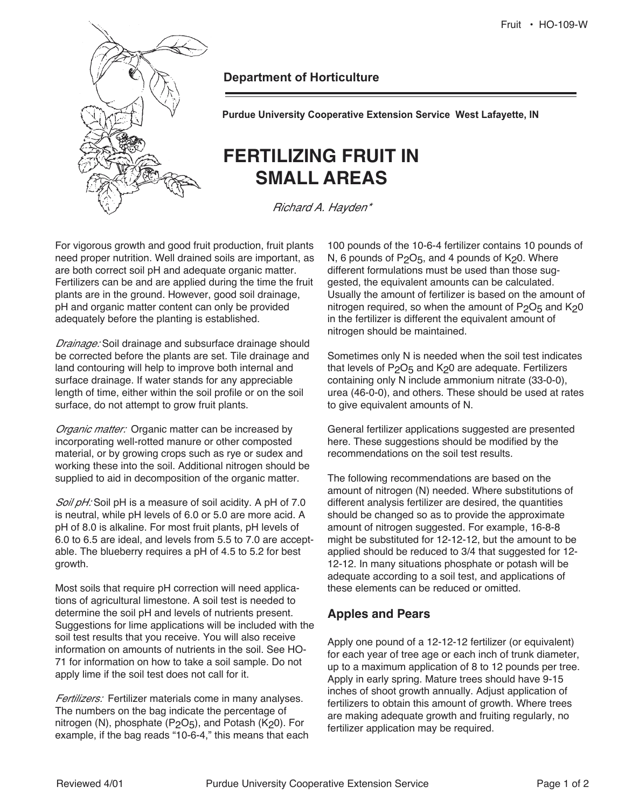

**Department of Horticulture** 

**Purdue University Cooperative Extension Service West Lafayette, IN** 

# **FERTILIZING FRUIT IN SMALL AREAS**

Richard A. Hayden\*

For vigorous growth and good fruit production, fruit plants need proper nutrition. Well drained soils are important, as are both correct soil pH and adequate organic matter. Fertilizers can be and are applied during the time the fruit plants are in the ground. However, good soil drainage, pH and organic matter content can only be provided adequately before the planting is established.

Drainage: Soil drainage and subsurface drainage should be corrected before the plants are set. Tile drainage and land contouring will help to improve both internal and surface drainage. If water stands for any appreciable length of time, either within the soil profile or on the soil surface, do not attempt to grow fruit plants.

Organic matter: Organic matter can be increased by incorporating well-rotted manure or other composted material, or by growing crops such as rye or sudex and working these into the soil. Additional nitrogen should be supplied to aid in decomposition of the organic matter.

Soil pH: Soil pH is a measure of soil acidity. A pH of 7.0 is neutral, while pH levels of 6.0 or 5.0 are more acid. A pH of 8.0 is alkaline. For most fruit plants, pH levels of 6.0 to 6.5 are ideal, and levels from 5.5 to 7.0 are acceptable. The blueberry requires a pH of 4.5 to 5.2 for best growth.

Most soils that require pH correction will need applications of agricultural limestone. A soil test is needed to determine the soil pH and levels of nutrients present. Suggestions for lime applications will be included with the soil test results that you receive. You will also receive information on amounts of nutrients in the soil. See HO-71 for information on how to take a soil sample. Do not apply lime if the soil test does not call for it.

Fertilizers: Fertilizer materials come in many analyses. The numbers on the bag indicate the percentage of nitrogen (N), phosphate  $(P<sub>2</sub>O<sub>5</sub>)$ , and Potash (K<sub>2</sub>0). For example, if the bag reads "10-6-4," this means that each

100 pounds of the 10-6-4 fertilizer contains 10 pounds of N, 6 pounds of  $P_2O_5$ , and 4 pounds of  $K_2O$ . Where different formulations must be used than those suggested, the equivalent amounts can be calculated. Usually the amount of fertilizer is based on the amount of nitrogen required, so when the amount of  $P_2O_5$  and  $K_2O$ in the fertilizer is different the equivalent amount of nitrogen should be maintained.

Sometimes only N is needed when the soil test indicates that levels of  $P_2O_5$  and K<sub>2</sub>0 are adequate. Fertilizers containing only N include ammonium nitrate (33-0-0), urea (46-0-0), and others. These should be used at rates to give equivalent amounts of N.

General fertilizer applications suggested are presented here. These suggestions should be modified by the recommendations on the soil test results.

The following recommendations are based on the amount of nitrogen (N) needed. Where substitutions of different analysis fertilizer are desired, the quantities should be changed so as to provide the approximate amount of nitrogen suggested. For example, 16-8-8 might be substituted for 12-12-12, but the amount to be applied should be reduced to 3/4 that suggested for 12- 12-12. In many situations phosphate or potash will be adequate according to a soil test, and applications of these elements can be reduced or omitted.

## **Apples and Pears**

Apply one pound of a 12-12-12 fertilizer (or equivalent) for each year of tree age or each inch of trunk diameter, up to a maximum application of 8 to 12 pounds per tree. Apply in early spring. Mature trees should have 9-15 inches of shoot growth annually. Adjust application of fertilizers to obtain this amount of growth. Where trees are making adequate growth and fruiting regularly, no fertilizer application may be required.